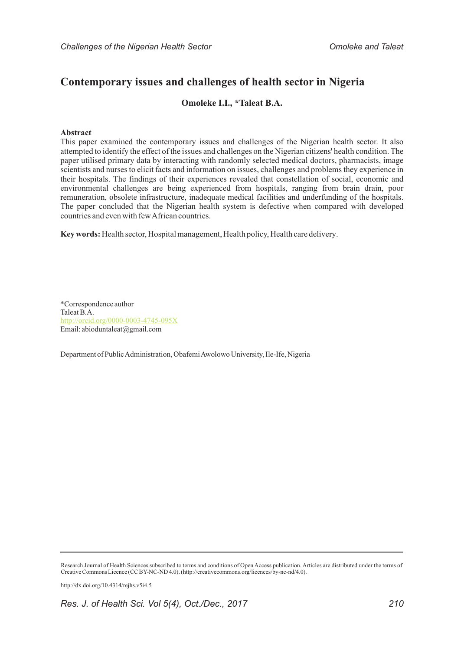# **Contemporary issues and challenges of health sector in Nigeria**

# **Omoleke I.I., \*Taleat B.A.**

### **Abstract**

This paper examined the contemporary issues and challenges of the Nigerian health sector. It also attempted to identify the effect of the issues and challenges on the Nigerian citizens' health condition. The paper utilised primary data by interacting with randomly selected medical doctors, pharmacists, image scientists and nurses to elicit facts and information on issues, challenges and problems they experience in their hospitals. The findings of their experiences revealed that constellation of social, economic and environmental challenges are being experienced from hospitals, ranging from brain drain, poor remuneration, obsolete infrastructure, inadequate medical facilities and underfunding of the hospitals. The paper concluded that the Nigerian health system is defective when compared with developed countries and even with few African countries.

**Key words:** Health sector, Hospital management, Health policy, Health care delivery.

\*Correspondence author Taleat B.A. Email: abioduntaleat@gmail.com http://orcid.org/0000-0003-4745-095X

Department of Public Administration, Obafemi Awolowo University, Ile-Ife, Nigeria

http://dx.doi.org/10.4314/rejhs.v5i4.5

Research Journal of Health Sciences subscribed to terms and conditions of Open Access publication. Articles are distributed under the terms of Creative Commons Licence (CC BY-NC-ND 4.0). (http://creativecommons.org/licences/by-nc-nd/4.0).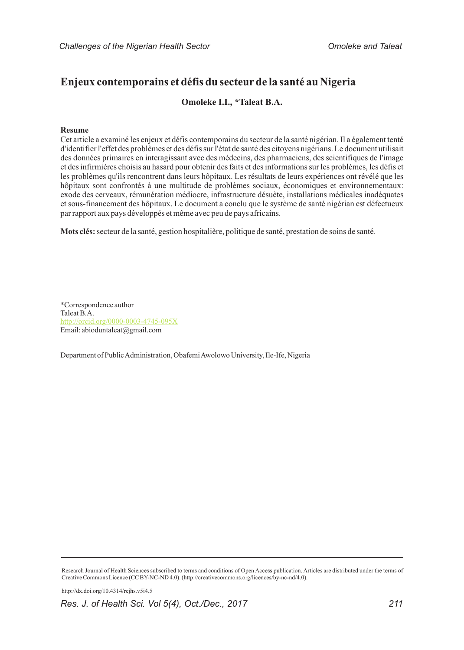# **Enjeux contemporains et défis du secteurde la santé au Nigeria**

# **Omoleke I.I., \*Taleat B.A.**

### **Resume**

Cet article a examiné les enjeux et défis contemporains du secteur de la santé nigérian. Il a également tenté d'identifier l'effet des problèmes et des défis sur l'état de santé des citoyens nigérians. Le document utilisait des données primaires en interagissant avec des médecins, des pharmaciens, des scientifiques de l'image et des infirmières choisis au hasard pour obtenir des faits et des informations sur les problèmes, les défis et les problèmes qu'ils rencontrent dans leurs hôpitaux. Les résultats de leurs expériences ont révélé que les hôpitaux sont confrontés à une multitude de problèmes sociaux, économiques et environnementaux: exode des cerveaux, rémunération médiocre, infrastructure désuète, installations médicales inadéquates et sous-financement des hôpitaux. Le document a conclu que le système de santé nigérian est défectueux par rapport aux pays développés et même avec peu de pays africains.

**Mots clés:**secteur de la santé, gestion hospitalière, politique de santé, prestation de soins de santé.

\*Correspondence author Taleat B.A. Email: abioduntaleat@gmail.com http://orcid.org/0000-0003-4745-095X

Department of Public Administration, Obafemi Awolowo University, Ile-Ife, Nigeria

http://dx.doi.org/10.4314/rejhs.v5i4.5

Research Journal of Health Sciences subscribed to terms and conditions of Open Access publication. Articles are distributed under the terms of Creative Commons Licence (CC BY-NC-ND 4.0). (http://creativecommons.org/licences/by-nc-nd/4.0).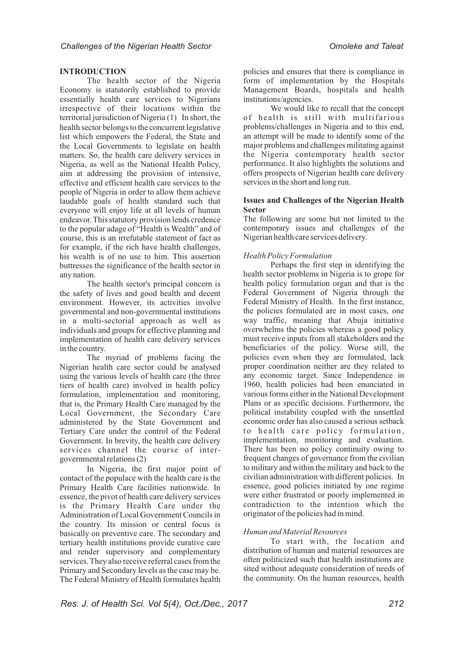## **INTRODUCTION**

The health sector of the Nigeria Economy is statutorily established to provide essentially health care services to Nigerians irrespective of their locations within the territorial jurisdiction of Nigeria (1) In short, the . health sector belongs to the concurrent legislative list which empowers the Federal, the State and the Local Governments to legislate on health matters. So, the health care delivery services in Nigeria, as well as the National Health Policy, aim at addressing the provision of intensive, effective and efficient health care services to the people of Nigeria in order to allow them achieve laudable goals of health standard such that everyone will enjoy life at all levels of human endeavor. This statutory provision lends credence to the popular adage of "Health is Wealth" and of course, this is an irrefutable statement of fact as for example, if the rich have health challenges, his wealth is of no use to him. This assertion buttresses the significance of the health sector in any nation.

The health sector's principal concern is the safety of lives and good health and decent environment. However, its activities involve governmental and non-governmental institutions in a multi-sectorial approach as well as individuals and groups for effective planning and implementation of health care delivery services in the country.

The myriad of problems facing the Nigerian health care sector could be analysed using the various levels of health care (the three tiers of health care) involved in health policy formulation, implementation and monitoring, that is, the Primary Health Care managed by the Local Government, the Secondary Care administered by the State Government and Tertiary Care under the control of the Federal Government. In brevity, the health care delivery services channel the course of intergovernmental relations (2).

In Nigeria, the first major point of contact of the populace with the health care is the Primary Health Care facilities nationwide. In essence, the pivot of health care delivery services is the Primary Health Care under the Administration of Local Government Councils in the country. Its mission or central focus is basically on preventive care. The secondary and tertiary health institutions provide curative care and render supervisory and complementary services. They also receive referral cases from the Primary and Secondary levels as the case may be. The Federal Ministry of Health formulates health policies and ensures that there is compliance in form of implementation by the Hospitals Management Boards, hospitals and health institutions/agencies.

We would like to recall that the concept of health is still with multifarious problems/challenges in Nigeria and to this end, an attempt will be made to identify some of the major problems and challenges militating against the Nigeria contemporary health sector performance. It also highlights the solutions and offers prospects of Nigerian health care delivery services in the short and long run.

### **Issues and Challenges of the Nigerian Health Sector**

The following are some but not limited to the contemporary issues and challenges of the Nigerian health care services delivery.

## *Health Policy Formulation*

Perhaps the first step in identifying the health sector problems in Nigeria is to grope for health policy formulation organ and that is the Federal Government of Nigeria through the Federal Ministry of Health. In the first instance, the policies formulated are in most cases, one way traffic, meaning that Abuja initiative overwhelms the policies whereas a good policy must receive inputs from all stakeholders and the beneficiaries of the policy. Worse still, the policies even when they are formulated, lack proper coordination neither are they related to any economic target. Since Independence in 1960, health policies had been enunciated in various forms either in the National Development Plans or as specific decisions. Furthermore, the political instability coupled with the unsettled economic order has also caused a serious setback to health care policy formulation, implementation, monitoring and evaluation. There has been no policy continuity owing to frequent changes of governance from the civilian to military and within the military and back to the civilian administration with different policies. In essence, good policies initiated by one regime were either frustrated or poorly implemented in contradiction to the intention which the originator of the policies had in mind.

### *Human and Material Resources*

To start with, the location and distribution of human and material resources are often politicized such that health institutions are sited without adequate consideration of needs of the community. On the human resources, health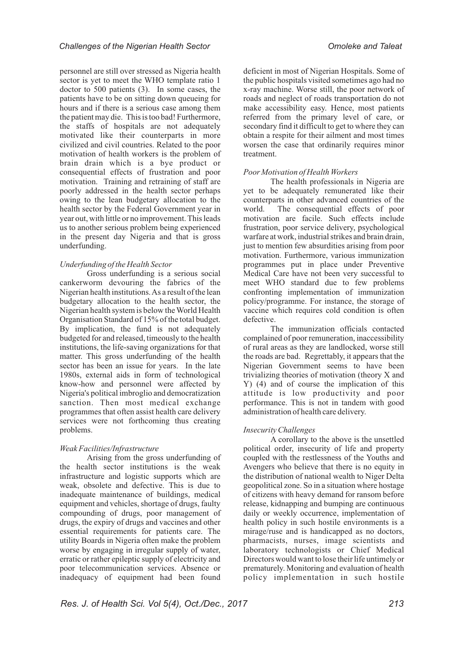personnel are still over stressed as Nigeria health sector is yet to meet the WHO template ratio 1 doctor to 500 patients (3). In some cases, the patients have to be on sitting down queueing for hours and if there is a serious case among them the patient may die. This is too bad! Furthermore, the staffs of hospitals are not adequately motivated like their counterparts in more civilized and civil countries. Related to the poor motivation of health workers is the problem of brain drain which is a bye product or consequential effects of frustration and poor motivation. Training and retraining of staff are poorly addressed in the health sector perhaps owing to the lean budgetary allocation to the health sector by the Federal Government year in year out, with little or no improvement. This leads us to another serious problem being experienced in the present day Nigeria and that is gross underfunding.

### *Underfunding of the Health Sector*

Gross underfunding is a serious social cankerworm devouring the fabrics of the Nigerian health institutions. As a result of the lean budgetary allocation to the health sector, the Nigerian health system is below the World Health Organisation Standard of 15% of the total budget. By implication, the fund is not adequately budgeted for and released, timeously to the health institutions, the life-saving organizations for that matter. This gross underfunding of the health sector has been an issue for years. In the late 1980s, external aids in form of technological know-how and personnel were affected by Nigeria's political imbroglio and democratization sanction. Then most medical exchange programmes that often assist health care delivery services were not forthcoming thus creating problems.

### *Weak Facilities/Infrastructure*

Arising from the gross underfunding of the health sector institutions is the weak infrastructure and logistic supports which are weak, obsolete and defective. This is due to inadequate maintenance of buildings, medical equipment and vehicles, shortage of drugs, faulty compounding of drugs, poor management of drugs, the expiry of drugs and vaccines and other essential requirements for patients care. The utility Boards in Nigeria often make the problem worse by engaging in irregular supply of water, erratic or rather epileptic supply of electricity and poor telecommunication services. Absence or inadequacy of equipment had been found

deficient in most of Nigerian Hospitals. Some of the public hospitals visited sometimes ago had no x-ray machine. Worse still, the poor network of roads and neglect of roads transportation do not make accessibility easy. Hence, most patients referred from the primary level of care, or secondary find it difficult to get to where they can obtain a respite for their ailment and most times worsen the case that ordinarily requires minor treatment.

## *Poor Motivation of Health Workers*

The health professionals in Nigeria are yet to be adequately remunerated like their counterparts in other advanced countries of the world. The consequential effects of poor motivation are facile. Such effects include frustration, poor service delivery, psychological warfare at work, industrial strikes and brain drain, just to mention few absurdities arising from poor motivation. Furthermore, various immunization programmes put in place under Preventive Medical Care have not been very successful to meet WHO standard due to few problems confronting implementation of immunization policy/programme. For instance, the storage of vaccine which requires cold condition is often defective.

The immunization officials contacted complained of poor remuneration, inaccessibility of rural areas as they are landlocked, worse still the roads are bad. Regrettably, it appears that the Nigerian Government seems to have been trivializing theories of motivation (theory X and Y) (4) and of course the implication of this attitude is low productivity and poor performance. This is not in tandem with good administration of health care delivery.

# *Insecurity Challenges*

A corollary to the above is the unsettled political order, insecurity of life and property coupled with the restlessness of the Youths and Avengers who believe that there is no equity in the distribution of national wealth to Niger Delta geopolitical zone. So in a situation where hostage of citizens with heavy demand for ransom before release, kidnapping and bumping are continuous daily or weekly occurrence, implementation of health policy in such hostile environments is a mirage/ruse and is handicapped as no doctors, pharmacists, nurses, image scientists and laboratory technologists or Chief Medical Directors would want to lose their life untimely or prematurely. Monitoring and evaluation of health policy implementation in such hostile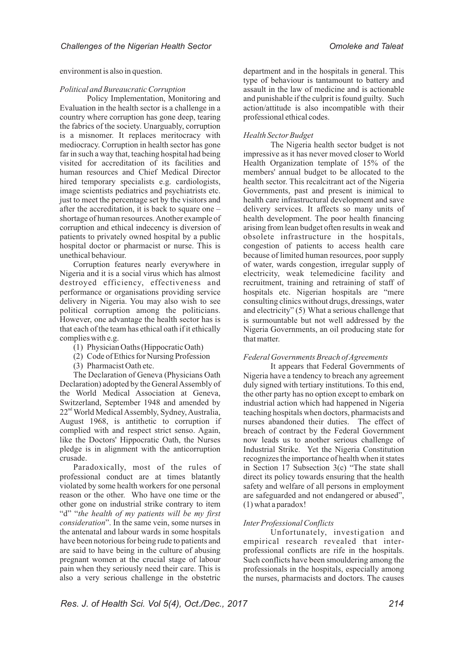environment is also in question.

#### *Political and Bureaucratic Corruption*

Policy Implementation, Monitoring and Evaluation in the health sector is a challenge in a country where corruption has gone deep, tearing the fabrics of the society. Unarguably, corruption is a misnomer. It replaces meritocracy with mediocracy. Corruption in health sector has gone far in such a way that, teaching hospital had being visited for accreditation of its facilities and human resources and Chief Medical Director hired temporary specialists e.g. cardiologists, image scientists pediatrics and psychiatrists etc. just to meet the percentage set by the visitors and after the accreditation, it is back to square one – shortage of human resources. Another example of corruption and ethical indecency is diversion of patients to privately owned hospital by a public hospital doctor or pharmacist or nurse. This is unethical behaviour.

Corruption features nearly everywhere in Nigeria and it is a social virus which has almost destroyed efficiency, effectiveness and performance or organisations providing service delivery in Nigeria. You may also wish to see political corruption among the politicians. However, one advantage the health sector has is that each of the team has ethical oath if it ethically complies with e.g.

- (1) Physician Oaths (Hippocratic Oath)
- (2) Code of Ethics for Nursing Profession
- (3) Pharmacist Oath etc.

The Declaration of Geneva (Physicians Oath Declaration) adopted by the General Assembly of the World Medical Association at Geneva, Switzerland, September 1948 and amended by  $22<sup>nd</sup>$  World Medical Assembly, Sydney, Australia, August 1968, is antithetic to corruption if complied with and respect strict senso. Again, like the Doctors' Hippocratic Oath, the Nurses pledge is in alignment with the anticorruption crusade.

Paradoxically, most of the rules of professional conduct are at times blatantly violated by some health workers for one personal reason or the other. Who have one time or the other gone on industrial strike contrary to item "d" "*the health of my patients will be my first consideration*". In the same vein, some nurses in the antenatal and labour wards in some hospitals have been notorious for being rude to patients and are said to have being in the culture of abusing pregnant women at the crucial stage of labour pain when they seriously need their care. This is also a very serious challenge in the obstetric

department and in the hospitals in general. This type of behaviour is tantamount to battery and assault in the law of medicine and is actionable and punishable if the culprit is found guilty. Such action/attitude is also incompatible with their professional ethical codes.

#### *Health Sector Budget*

The Nigeria health sector budget is not impressive as it has never moved closer to World Health Organization template of 15% of the members' annual budget to be allocated to the health sector. This recalcitrant act of the Nigeria Governments, past and present is inimical to health care infrastructural development and save delivery services. It affects so many units of health development. The poor health financing arising from lean budget often results in weak and obsolete infrastructure in the hospitals, congestion of patients to access health care because of limited human resources, poor supply of water, wards congestion, irregular supply of electricity, weak telemedicine facility and recruitment, training and retraining of staff of hospitals etc. Nigerian hospitals are "mere consulting clinics without drugs, dressings, water and electricity" (5) What a serious challenge that . is surmountable but not well addressed by the Nigeria Governments, an oil producing state for that matter.

#### *Federal Governments Breach of Agreements*

It appears that Federal Governments of Nigeria have a tendency to breach any agreement duly signed with tertiary institutions. To this end, the other party has no option except to embark on industrial action which had happened in Nigeria teaching hospitals when doctors, pharmacists and nurses abandoned their duties. The effect of breach of contract by the Federal Government now leads us to another serious challenge of Industrial Strike. Yet the Nigeria Constitution recognizes the importance of health when it states in Section 17 Subsection 3(c) "The state shall direct its policy towards ensuring that the health safety and welfare of all persons in employment are safeguarded and not endangered or abused", (1) what a paradox!

### *Inter Professional Conflicts*

Unfortunately, investigation and empirical research revealed that interprofessional conflicts are rife in the hospitals. Such conflicts have been smouldering among the professionals in the hospitals, especially among the nurses, pharmacists and doctors. The causes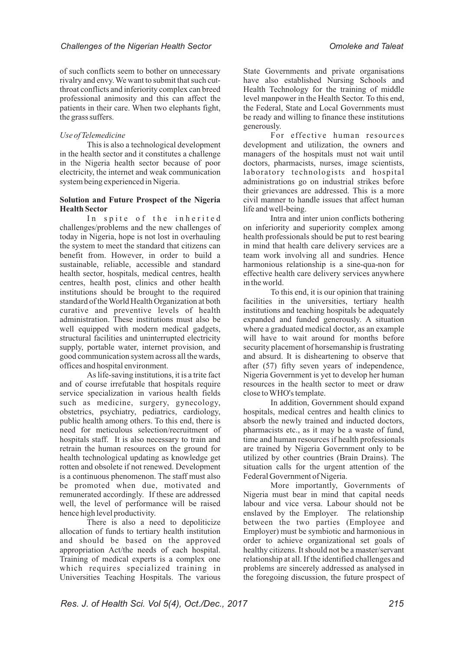of such conflicts seem to bother on unnecessary rivalry and envy. We want to submit that such cutthroat conflicts and inferiority complex can breed professional animosity and this can affect the patients in their care. When two elephants fight, the grass suffers.

### *Use of Telemedicine*

This is also a technological development in the health sector and it constitutes a challenge in the Nigeria health sector because of poor electricity, the internet and weak communication system being experienced in Nigeria.

### **Solution and Future Prospect of the Nigeria Health Sector**

In spite of the inherited challenges/problems and the new challenges of today in Nigeria, hope is not lost in overhauling the system to meet the standard that citizens can benefit from. However, in order to build a sustainable, reliable, accessible and standard health sector, hospitals, medical centres, health centres, health post, clinics and other health institutions should be brought to the required standard of the World Health Organization at both curative and preventive levels of health administration. These institutions must also be well equipped with modern medical gadgets, structural facilities and uninterrupted electricity supply, portable water, internet provision, and good communication system across all the wards, offices and hospital environment.

As life-saving institutions, it is a trite fact and of course irrefutable that hospitals require service specialization in various health fields such as medicine, surgery, gynecology, obstetrics, psychiatry, pediatrics, cardiology, public health among others. To this end, there is need for meticulous selection/recruitment of hospitals staff. It is also necessary to train and retrain the human resources on the ground for health technological updating as knowledge get rotten and obsolete if not renewed. Development is a continuous phenomenon. The staff must also be promoted when due, motivated and remunerated accordingly. If these are addressed well, the level of performance will be raised hence high level productivity.

There is also a need to depoliticize allocation of funds to tertiary health institution and should be based on the approved appropriation Act/the needs of each hospital. Training of medical experts is a complex one which requires specialized training in Universities Teaching Hospitals. The various

State Governments and private organisations have also established Nursing Schools and Health Technology for the training of middle level manpower in the Health Sector. To this end, the Federal, State and Local Governments must be ready and willing to finance these institutions generously.

For effective human resources development and utilization, the owners and managers of the hospitals must not wait until doctors, pharmacists, nurses, image scientists, laboratory technologists and hospital administrations go on industrial strikes before their grievances are addressed. This is a more civil manner to handle issues that affect human life and well-being.

Intra and inter union conflicts bothering on inferiority and superiority complex among health professionals should be put to rest bearing in mind that health care delivery services are a team work involving all and sundries. Hence harmonious relationship is a sine-qua-non for effective health care delivery services anywhere in the world.

To this end, it is our opinion that training facilities in the universities, tertiary health institutions and teaching hospitals be adequately expanded and funded generously. A situation where a graduated medical doctor, as an example will have to wait around for months before security placement of horsemanship is frustrating and absurd. It is disheartening to observe that after (57) fifty seven years of independence, Nigeria Government is yet to develop her human resources in the health sector to meet or draw close to WHO's template.

In addition, Government should expand hospitals, medical centres and health clinics to absorb the newly trained and inducted doctors, pharmacists etc., as it may be a waste of fund, time and human resources if health professionals are trained by Nigeria Government only to be utilized by other countries (Brain Drains). The situation calls for the urgent attention of the Federal Government of Nigeria.

More importantly, Governments of Nigeria must bear in mind that capital needs labour and vice versa. Labour should not be enslaved by the Employer. The relationship between the two parties (Employee and Employer) must be symbiotic and harmonious in order to achieve organizational set goals of healthy citizens. It should not be a master/servant relationship at all. If the identified challenges and problems are sincerely addressed as analysed in the foregoing discussion, the future prospect of